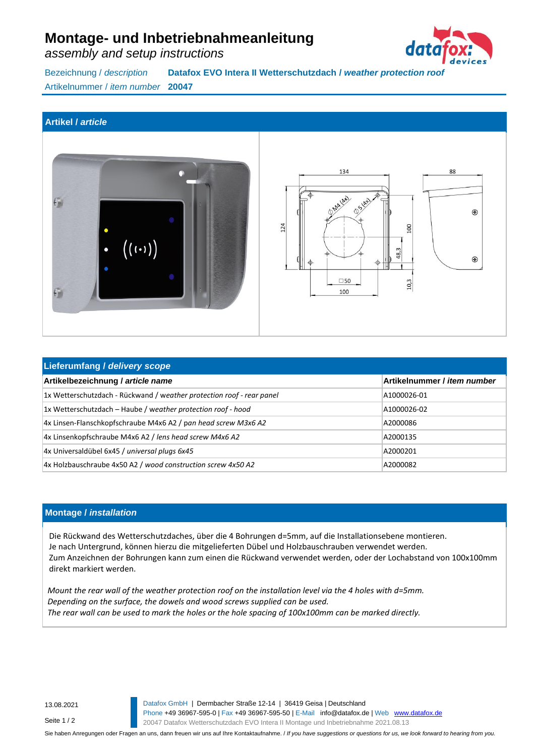# **Montage- und Inbetriebnahmeanleitung**

*assembly and setup instructions*



Bezeichnung / *description* **Datafox EVO Intera II Wetterschutzdach /** *weather protection roof* Artikelnummer / *item number* **20047**

#### **Artikel /** *article*





| Lieferumfang / delivery scope                                         |                             |
|-----------------------------------------------------------------------|-----------------------------|
| Artikelbezeichnung / article name                                     | Artikelnummer / item number |
| 1x Wetterschutzdach - Rückwand / weather protection roof - rear panel | A1000026-01                 |
| 1x Wetterschutzdach - Haube / weather protection roof - hood          | A1000026-02                 |
| 4x Linsen-Flanschkopfschraube M4x6 A2 / pan head screw M3x6 A2        | A2000086                    |
| 4x Linsenkopfschraube M4x6 A2 / lens head screw M4x6 A2               | A2000135                    |
| 4x Universaldübel 6x45 / universal plugs 6x45                         | A2000201                    |
| 4x Holzbauschraube 4x50 A2 / wood construction screw 4x50 A2          | A2000082                    |

#### **Montage /** *installation*

Die Rückwand des Wetterschutzdaches, über die 4 Bohrungen d=5mm, auf die Installationsebene montieren. Je nach Untergrund, können hierzu die mitgelieferten Dübel und Holzbauschrauben verwendet werden. Zum Anzeichnen der Bohrungen kann zum einen die Rückwand verwendet werden, oder der Lochabstand von 100x100mm direkt markiert werden.

*Mount the rear wall of the weather protection roof on the installation level via the 4 holes with d=5mm. Depending on the surface, the dowels and wood screws supplied can be used. The rear wall can be used to mark the holes or the hole spacing of 100x100mm can be marked directly.*

13.08.2021

Seite 1 / 2

 Datafox GmbH | Dermbacher Straße 12-14 | 36419 Geisa | Deutschland Phone +49 36967-595-0 | Fax +49 36967-595-50 | E-Mail info@datafox.de | Web [www.datafox.de](http://www.datafox.de/) 20047 Datafox Wetterschutzdach EVO Intera II Montage und Inbetriebnahme 2021.08.13

Sie haben Anregungen oder Fragen an uns, dann freuen wir uns auf Ihre Kontaktaufnahme. / *If you have suggestions or questions for us, we look forward to hearing from you.*